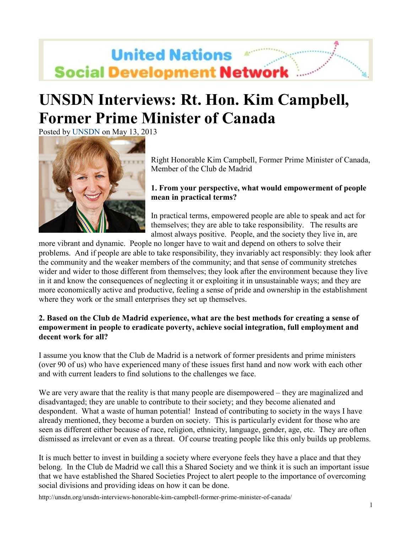# **United Nations Social Development Network**

## **UNSDN Interviews: Rt. Hon. Kim Campbell, Former Prime Minister of Canada**

Posted by UNSDN on May 13, 2013



Right Honorable Kim Campbell, Former Prime Minister of Canada, Member of the Club de Madrid

### **1. From your perspective, what would empowerment of people mean in practical terms?**

In practical terms, empowered people are able to speak and act for themselves; they are able to take responsibility. The results are almost always positive. People, and the society they live in, are

more vibrant and dynamic. People no longer have to wait and depend on others to solve their problems. And if people are able to take responsibility, they invariably act responsibly: they look after the community and the weaker members of the community; and that sense of community stretches wider and wider to those different from themselves; they look after the environment because they live in it and know the consequences of neglecting it or exploiting it in unsustainable ways; and they are more economically active and productive, feeling a sense of pride and ownership in the establishment where they work or the small enterprises they set up themselves.

#### **2. Based on the Club de Madrid experience, what are the best methods for creating a sense of empowerment in people to eradicate poverty, achieve social integration, full employment and decent work for all?**

I assume you know that the Club de Madrid is a network of former presidents and prime ministers (over 90 of us) who have experienced many of these issues first hand and now work with each other and with current leaders to find solutions to the challenges we face.

We are very aware that the reality is that many people are disempowered – they are maginalized and disadvantaged; they are unable to contribute to their society; and they become alienated and despondent. What a waste of human potential! Instead of contributing to society in the ways I have already mentioned, they become a burden on society. This is particularly evident for those who are seen as different either because of race, religion, ethnicity, language, gender, age, etc. They are often dismissed as irrelevant or even as a threat. Of course treating people like this only builds up problems.

It is much better to invest in building a society where everyone feels they have a place and that they belong. In the Club de Madrid we call this a Shared Society and we think it is such an important issue that we have established the Shared Societies Project to alert people to the importance of overcoming social divisions and providing ideas on how it can be done.

http://unsdn.org/unsdn-interviews-honorable-kim-campbell-former-prime-minister-of-canada/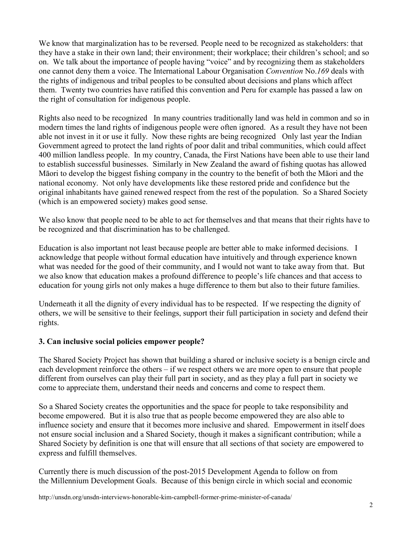We know that marginalization has to be reversed. People need to be recognized as stakeholders: that they have a stake in their own land; their environment; their workplace; their children's school; and so on. We talk about the importance of people having "voice" and by recognizing them as stakeholders one cannot deny them a voice. The International Labour Organisation *Convention* No.*169* deals with the rights of indigenous and tribal peoples to be consulted about decisions and plans which affect them. Twenty two countries have ratified this convention and Peru for example has passed a law on the right of consultation for indigenous people.

Rights also need to be recognized In many countries traditionally land was held in common and so in modern times the land rights of indigenous people were often ignored. As a result they have not been able not invest in it or use it fully. Now these rights are being recognized Only last year the Indian Government agreed to protect the land rights of poor dalit and tribal communities, which could affect 400 million landless people. In my country, Canada, the First Nations have been able to use their land to establish successful businesses. Similarly in New Zealand the award of fishing quotas has allowed Māori to develop the biggest fishing company in the country to the benefit of both the Māori and the national economy. Not only have developments like these restored pride and confidence but the original inhabitants have gained renewed respect from the rest of the population. So a Shared Society (which is an empowered society) makes good sense.

We also know that people need to be able to act for themselves and that means that their rights have to be recognized and that discrimination has to be challenged.

Education is also important not least because people are better able to make informed decisions. I acknowledge that people without formal education have intuitively and through experience known what was needed for the good of their community, and I would not want to take away from that. But we also know that education makes a profound difference to people's life chances and that access to education for young girls not only makes a huge difference to them but also to their future families.

Underneath it all the dignity of every individual has to be respected. If we respecting the dignity of others, we will be sensitive to their feelings, support their full participation in society and defend their rights.

#### **3. Can inclusive social policies empower people?**

The Shared Society Project has shown that building a shared or inclusive society is a benign circle and each development reinforce the others – if we respect others we are more open to ensure that people different from ourselves can play their full part in society, and as they play a full part in society we come to appreciate them, understand their needs and concerns and come to respect them.

So a Shared Society creates the opportunities and the space for people to take responsibility and become empowered. But it is also true that as people become empowered they are also able to influence society and ensure that it becomes more inclusive and shared. Empowerment in itself does not ensure social inclusion and a Shared Society, though it makes a significant contribution; while a Shared Society by definition is one that will ensure that all sections of that society are empowered to express and fulfill themselves.

Currently there is much discussion of the post-2015 Development Agenda to follow on from the Millennium Development Goals. Because of this benign circle in which social and economic

http://unsdn.org/unsdn-interviews-honorable-kim-campbell-former-prime-minister-of-canada/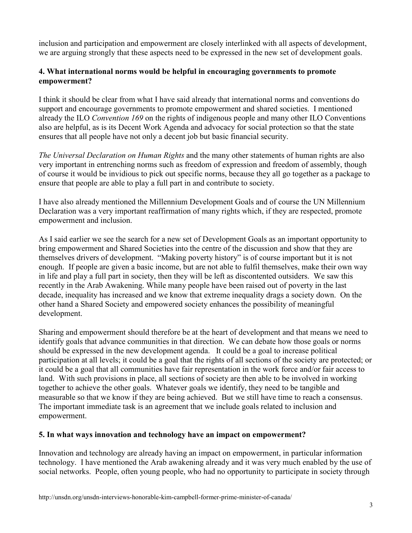inclusion and participation and empowerment are closely interlinked with all aspects of development, we are arguing strongly that these aspects need to be expressed in the new set of development goals.

#### **4. What international norms would be helpful in encouraging governments to promote empowerment?**

I think it should be clear from what I have said already that international norms and conventions do support and encourage governments to promote empowerment and shared societies. I mentioned already the ILO *Convention 169* on the rights of indigenous people and many other ILO Conventions also are helpful, as is its Decent Work Agenda and advocacy for social protection so that the state ensures that all people have not only a decent job but basic financial security.

*The Universal Declaration on Human Rights* and the many other statements of human rights are also very important in entrenching norms such as freedom of expression and freedom of assembly, though of course it would be invidious to pick out specific norms, because they all go together as a package to ensure that people are able to play a full part in and contribute to society.

I have also already mentioned the Millennium Development Goals and of course the UN Millennium Declaration was a very important reaffirmation of many rights which, if they are respected, promote empowerment and inclusion.

As I said earlier we see the search for a new set of Development Goals as an important opportunity to bring empowerment and Shared Societies into the centre of the discussion and show that they are themselves drivers of development. "Making poverty history" is of course important but it is not enough. If people are given a basic income, but are not able to fulfil themselves, make their own way in life and play a full part in society, then they will be left as discontented outsiders. We saw this recently in the Arab Awakening. While many people have been raised out of poverty in the last decade, inequality has increased and we know that extreme inequality drags a society down. On the other hand a Shared Society and empowered society enhances the possibility of meaningful development.

Sharing and empowerment should therefore be at the heart of development and that means we need to identify goals that advance communities in that direction. We can debate how those goals or norms should be expressed in the new development agenda. It could be a goal to increase political participation at all levels; it could be a goal that the rights of all sections of the society are protected; or it could be a goal that all communities have fair representation in the work force and/or fair access to land. With such provisions in place, all sections of society are then able to be involved in working together to achieve the other goals. Whatever goals we identify, they need to be tangible and measurable so that we know if they are being achieved. But we still have time to reach a consensus. The important immediate task is an agreement that we include goals related to inclusion and empowerment.

#### **5. In what ways innovation and technology have an impact on empowerment?**

Innovation and technology are already having an impact on empowerment, in particular information technology. I have mentioned the Arab awakening already and it was very much enabled by the use of social networks. People, often young people, who had no opportunity to participate in society through